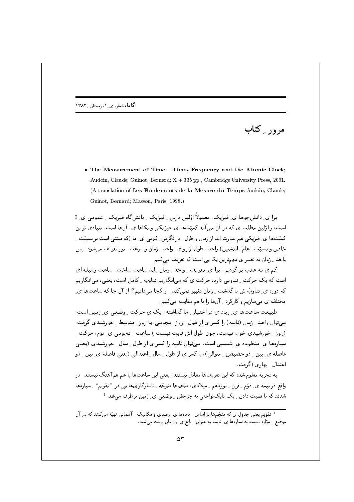مرور ِ کتاب

• The Measurement of Time - Time, Frequency and the Atomic Clock; Audoin, Claude; Guinot, Bernard; X + 335 pp., Cambridge University Press, 2001. (A translation of Les Fondements de la Mesure du Temps Audoin, Claude; Guinot, Bernard; Masson, Paris, 1998.)

ہ ای دانش جوها ی فیزیک، معمولاً اوّلین درس ِ فیزیک ِ دانش گاه فیزیک ِ عمومی ی ِ I است، و اوّلین مطلب ی که در آن می آید کمیّتها ی ِ فیزیکی و یکاها ی ِ آنها است. بنیادی ترین کمیّتها ی ِ فیزیکی هم عبارت اند از زمان و طول. در نگرش ِ کنونی ی ِ ما (که مبتنی است بر نسبیّت ِ ِ خاص و نسبیّت ِ عامّ ِ اینشتین) واحد ِ طول از رو ی ِ واحد ِ زمان و سرعت ِ نور تعریف میشود. پس واحد \_ زمان به تعبیر ی مهمترین یکا یے است که تعریف مے کنیم.

کم ی به عقب بر گردیم. برا ی ِ تعریف ِ واحد ِ زمان باید ساعت ساخت. ساعت وسیله ای است که یک حرکت ِ تناوبی دارد، حرکت ی که میانگاریم تناوب ِ کامل است، یعنی، می انگاریم که دوره ي ِ تناوبَ ش با گذشت ِ زمان تغيير نمي کند. از کجا ميدانيم؟ از آن جا که ساعتها ي ِ .<br>مختلف ی می سازیم و کارکرد <sub>ب</sub> آنها را با هم مقایسه میکنیم.

طبیعت ساعتها ی ِ زیاد ی در اختیار ِ ما گذاشته. یک ی حرکت ِ وضعی ی ِ زمین است. می توان واحد ۔ زمان (ثانیبه) را کسر ی از طول ۔ روز ۔ نجومبی، یا روز ۔ متوسط ۔ خورشیدی گرفت . (روز \_ خورشيدي خوب نيست، چون طول اش ثابت نيست.) ساعت \_ نجومي ي\_ دوم، حركت \_ سیارهها ی ِ منظومه ی ِ شمسی است. میتوان ثانیه را کسر ی از طول ِ سال ِ خورشیدی (یعنی فاصله ی بین ِ دو حضیض ِ متوالی)، یا کسر ی از طول ِ سال ِ اعتدالی (یعنی فاصله ی ِ بین ِ دو اعتدال بها, ی) گرفت.

به تجربه معلوم شده که این تعریفها معادل نیستند! یعنی این ساعتها با هم همآهنگ نیستند. در واقع در نیمه ی ِ دوّم ِ قِرن ِ نوزدهم ِ میلادی، منجمها متوجّه ِ ناسازگاریها یی در " تقویم" ِ سیارهها شدند که با نسبت دادن <sub>-</sub> یک نایکنواختی به چرخش <sub>-</sub> وضعی ی ِ زمین برطرف میشد.<sup>1</sup>

۔<br>تقویم یعنی جدول ی که منجّمها بر اساس ِ دادهها ی ِ رصدی و مکانیک ِ آسمانی تهیّه میکنند که در آن .<br>موضع ِ سیّاره نسبت به ستارهها ی ِ ثابت به عنوان ِ تابع ی از زمان نوشته میشود.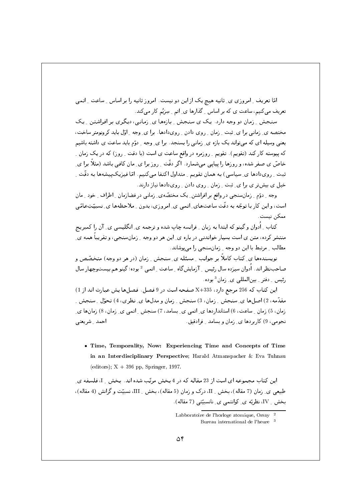امّا تعریف ِ امروزی ی ِ ثانیه هیچ یک از این دو نیست. امروز ثانیه را بر اساس ِ ساعت ِ اتمی تعریف می کنیم، ساعت ی که بر اساس ِ گذارها ی ِ اتم ِ سِرْیُم کار می کند.

سنجش په زمان دو وجه دارد. یک ی سنجش پیازهها ی زمانی، دیگری بر افراشتن پیک مختصه ی ِ زمانی برا ی ِ ثبت ِ زمان ِ ِ روی دادن ِ رویدادها. برا ی ِ وجه ِ اوّل باید کرونومتر ساخت، یعنی وسیله ای که می تواند یک بازه ی ِ زمانی را بسنجد. برا ی ِ وجه ِ ِ دوّم باید ساعت ی داشته باشیم که پیوسته کار کند (تقویم). تقویم ِ روزمره در واقع ساعت ی است (با دقت ِ روز) که در یک زمان ِ خاصّ ی صفر شده، و روزها را پیایبی می شمارد. اگر دقّت ِ روز برا ی ِ مان کافبی باشد (مثلاً برا ی ِ ثبت ِ رویدادها ی ِ سیاسی) به همان تقویم ِ متداول اکتفا میکنیم. امّا فیزیکپیشهها به دقّت ِ خیل ی بیش تر ی برا ی ِ ثبت ِ زمان ِ روی دادن ِ رویدادها نیاز دارند.

وجه ِ دوّم ِ زمانسنجی در واقع بر افراشتن ِ یک مختصّه ی ِ زمانی در فضازمان ِ اطراف ِ خود ِ مان است، و این کار با توجّه به دقّت ساعتهای ِ اتمی ی ِ امروزی، بدون ِ ملاحظهها ی ِ نسبیّتِعامّی ممکن نیست.

کتاب -اُدوان و گینو که ابتدا به زبان - فرانسه چاپ شده و ترجمه ی -انگلیسی ی -آن را کمبریج منتشر کرده، متن ی است بسیار خواندنی در باره ی ِ این هر دو وجه ِ ِ زمانِسنجی، و تقریباً همه ی ِ مطالب ۔ مرتبط با این دو وجه ۔ زمان سنجی را می یوشاند.

نویسندهها ی ِ کتاب کاملاً بر جوانب ِ مسئله ی ِ سنجش ِ زمان (در هر دو وجه) متخصّص و صاحب:نظر اند. اُدوان سیزده سال رئیس <sub>-</sub> آزمایشگاه <sub>-</sub> ساعت <sub>-</sub> اتمی <sup>2</sup> بوده؛ گینو هم بیستوچهار سال رئیس ِ دفتر ِ بینالمللی ی ِ زمان <sup>3</sup> بوده.

این کتاب که 256 مرجع دارد، X+335 صفحه است در 9 فصل. فصلها پش عبارت انداز 1) مقدَّمه، 2) اصلها ي ِ سنجش ِ زمان، 3) سنجش ِ زمان و مدلها ي ِ نظري، 4) تحوَّل ِ سنجش ِ زمان، 5) زمان ِ ساعت، 6) استانداردها ی ِ اتمی ی ِ بِسامد، 7) سنجش ِ اتمی ی ِ زمان، 8) زمانها ی ِ نجومي، 9) کا,پردها ي زمان و پسامد په مادقيق. أحمد شريعتي

. Time, Temporality, Now: Experiencing Time and Concepts of Time in an Interdisciplinary Perspective; Harald Atmanspacher & Eva Tuhnau (editors);  $X + 396$  pp, Springer, 1997.

این کتاب مجموعه ای است از 23 مقاله که در 4 بخش مرتّب شده اند. بخش M ، فلسفه ی طبیعی ی ـ زمان (7 مقاله)، بخش \_ II، درک و زمان (5 مقاله)، بخش \_ III، نسبیّت و گرانش (4 مقاله)، بخش \_ IV، نظریّه ی ِ کوانتمی ی ِ نانسبیّتی (7 مقاله).

Labboratoire de l'horloge atomique, Orsay

Bureau international de l'heure